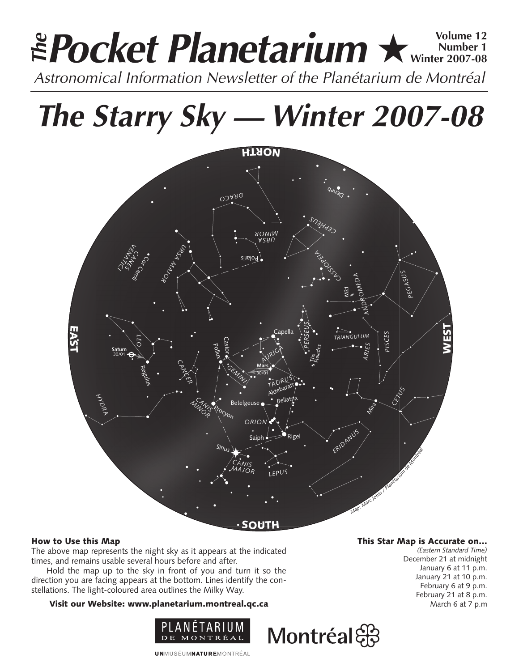# **Pocket Planetarium ★** Wolume 12 **Number 1 Winter 2007-08 EPocket Planetarium**  $\star$  Number 12<br>Astronomical Information Newsletter of the Planétarium de Montréal

**The Starry Sky — Winter 2007-08**



# How to Use this Map

The above map represents the night sky as it appears at the indicated times, and remains usable several hours before and after.

Hold the map up to the sky in front of you and turn it so the direction you are facing appears at the bottom. Lines identify the constellations. The light-coloured area outlines the Milky Way.

# Visit our Website: www.planetarium.montreal.qc.ca



This Star Map is Accurate on…

Montréal &

*(Eastern Standard Time)* December 21 at midnight January 6 at 11 p.m. January 21 at 10 p.m. February 6 at 9 p.m. February 21 at 8 p.m. March 6 at 7 p.m

**UNMUSÉUMNATUREMONTRÉAL**